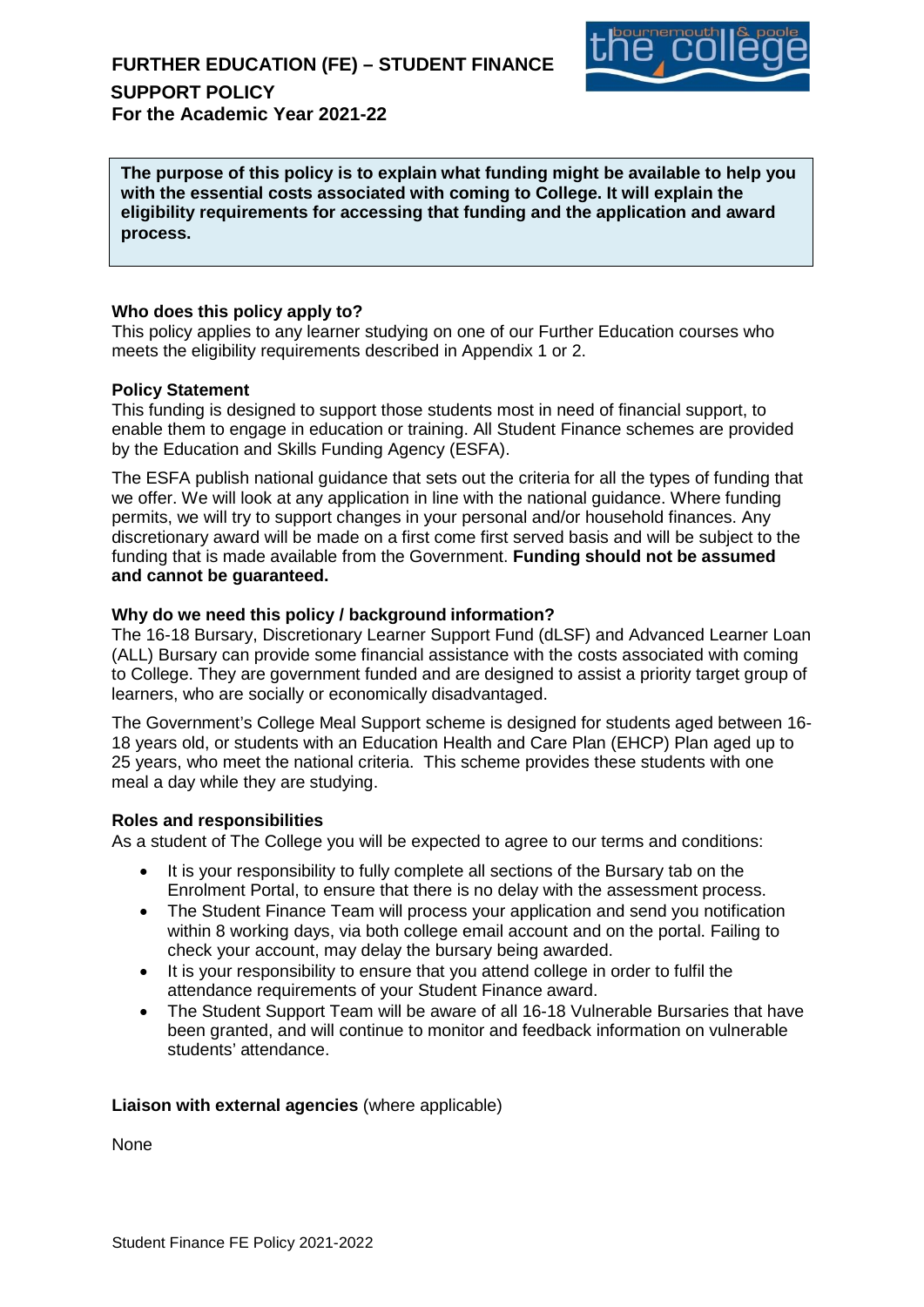

**The purpose of this policy is to explain what funding might be available to help you with the essential costs associated with coming to College. It will explain the eligibility requirements for accessing that funding and the application and award process.**

### **Who does this policy apply to?**

This policy applies to any learner studying on one of our Further Education courses who meets the eligibility requirements described in Appendix 1 or 2.

### **Policy Statement**

This funding is designed to support those students most in need of financial support, to enable them to engage in education or training. All Student Finance schemes are provided by the Education and Skills Funding Agency (ESFA).

The ESFA publish national guidance that sets out the criteria for all the types of funding that we offer. We will look at any application in line with the national guidance. Where funding permits, we will try to support changes in your personal and/or household finances. Any discretionary award will be made on a first come first served basis and will be subject to the funding that is made available from the Government. **Funding should not be assumed and cannot be guaranteed.**

### **Why do we need this policy / background information?**

The 16-18 Bursary, Discretionary Learner Support Fund (dLSF) and Advanced Learner Loan (ALL) Bursary can provide some financial assistance with the costs associated with coming to College. They are government funded and are designed to assist a priority target group of learners, who are socially or economically disadvantaged.

The Government's College Meal Support scheme is designed for students aged between 16- 18 years old, or students with an Education Health and Care Plan (EHCP) Plan aged up to 25 years, who meet the national criteria. This scheme provides these students with one meal a day while they are studying.

### **Roles and responsibilities**

As a student of The College you will be expected to agree to our terms and conditions:

- It is your responsibility to fully complete all sections of the Bursary tab on the Enrolment Portal, to ensure that there is no delay with the assessment process.
- The Student Finance Team will process your application and send you notification within 8 working days, via both college email account and on the portal. Failing to check your account, may delay the bursary being awarded.
- It is your responsibility to ensure that you attend college in order to fulfil the attendance requirements of your Student Finance award.
- The Student Support Team will be aware of all 16-18 Vulnerable Bursaries that have been granted, and will continue to monitor and feedback information on vulnerable students' attendance.

### **Liaison with external agencies** (where applicable)

None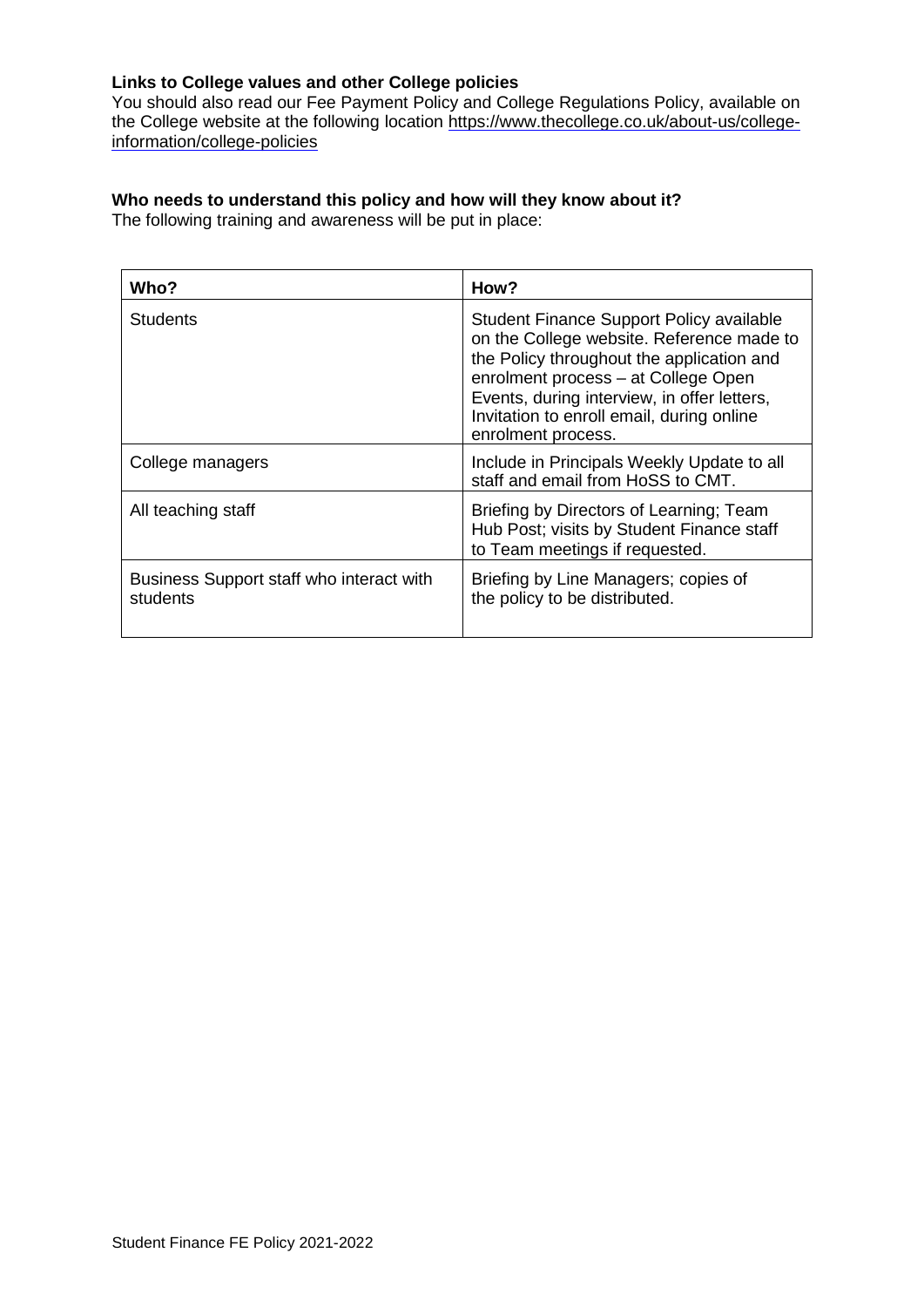## **Links to College values and other College policies**

You should also read our Fee Payment Policy and College Regulations Policy, available on the College website at the following location [https://www.thecollege.co.uk/about-us/college](https://www.thecollege.co.uk/about-us/college-information/college-policies)[information/college-policies](https://www.thecollege.co.uk/about-us/college-information/college-policies)

## **Who needs to understand this policy and how will they know about it?**

The following training and awareness will be put in place:

| Who?                                                 | How?                                                                                                                                                                                                                                                                                        |
|------------------------------------------------------|---------------------------------------------------------------------------------------------------------------------------------------------------------------------------------------------------------------------------------------------------------------------------------------------|
| <b>Students</b>                                      | Student Finance Support Policy available<br>on the College website. Reference made to<br>the Policy throughout the application and<br>enrolment process - at College Open<br>Events, during interview, in offer letters,<br>Invitation to enroll email, during online<br>enrolment process. |
| College managers                                     | Include in Principals Weekly Update to all<br>staff and email from HoSS to CMT.                                                                                                                                                                                                             |
| All teaching staff                                   | Briefing by Directors of Learning; Team<br>Hub Post; visits by Student Finance staff<br>to Team meetings if requested.                                                                                                                                                                      |
| Business Support staff who interact with<br>students | Briefing by Line Managers; copies of<br>the policy to be distributed.                                                                                                                                                                                                                       |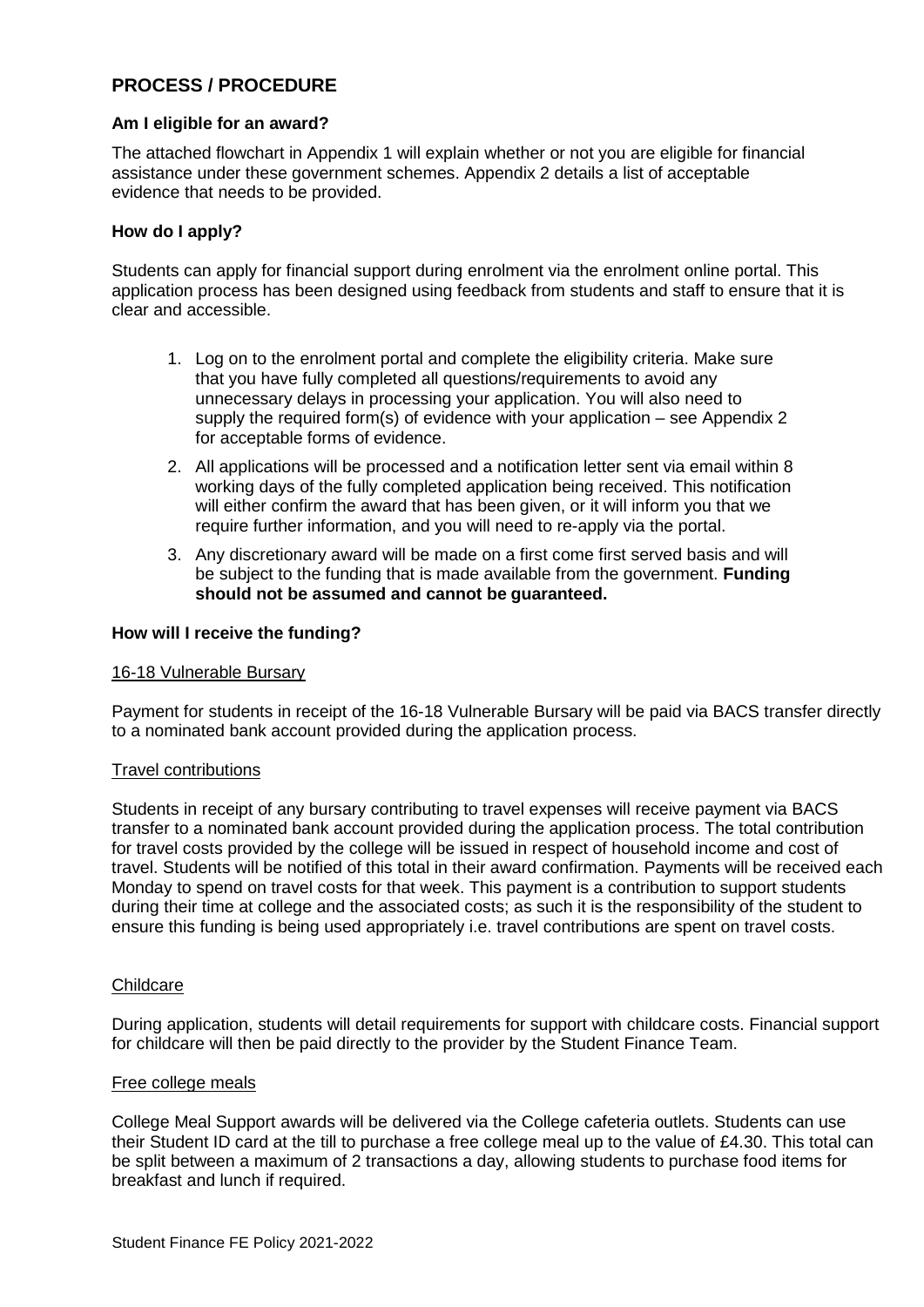# **PROCESS / PROCEDURE**

### **Am I eligible for an award?**

The attached flowchart in Appendix 1 will explain whether or not you are eligible for financial assistance under these government schemes. Appendix 2 details a list of acceptable evidence that needs to be provided.

### **How do I apply?**

Students can apply for financial support during enrolment via the enrolment online portal. This application process has been designed using feedback from students and staff to ensure that it is clear and accessible.

- 1. Log on to the enrolment portal and complete the eligibility criteria. Make sure that you have fully completed all questions/requirements to avoid any unnecessary delays in processing your application. You will also need to supply the required form(s) of evidence with your application – see Appendix 2 for acceptable forms of evidence.
- 2. All applications will be processed and a notification letter sent via email within 8 working days of the fully completed application being received. This notification will either confirm the award that has been given, or it will inform you that we require further information, and you will need to re-apply via the portal.
- 3. Any discretionary award will be made on a first come first served basis and will be subject to the funding that is made available from the government. **Funding should not be assumed and cannot be guaranteed.**

### **How will I receive the funding?**

### 16-18 Vulnerable Bursary

Payment for students in receipt of the 16-18 Vulnerable Bursary will be paid via BACS transfer directly to a nominated bank account provided during the application process.

### Travel contributions

Students in receipt of any bursary contributing to travel expenses will receive payment via BACS transfer to a nominated bank account provided during the application process. The total contribution for travel costs provided by the college will be issued in respect of household income and cost of travel. Students will be notified of this total in their award confirmation. Payments will be received each Monday to spend on travel costs for that week. This payment is a contribution to support students during their time at college and the associated costs; as such it is the responsibility of the student to ensure this funding is being used appropriately i.e. travel contributions are spent on travel costs.

### **Childcare**

During application, students will detail requirements for support with childcare costs. Financial support for childcare will then be paid directly to the provider by the Student Finance Team.

### Free college meals

College Meal Support awards will be delivered via the College cafeteria outlets. Students can use their Student ID card at the till to purchase a free college meal up to the value of £4.30. This total can be split between a maximum of 2 transactions a day, allowing students to purchase food items for breakfast and lunch if required.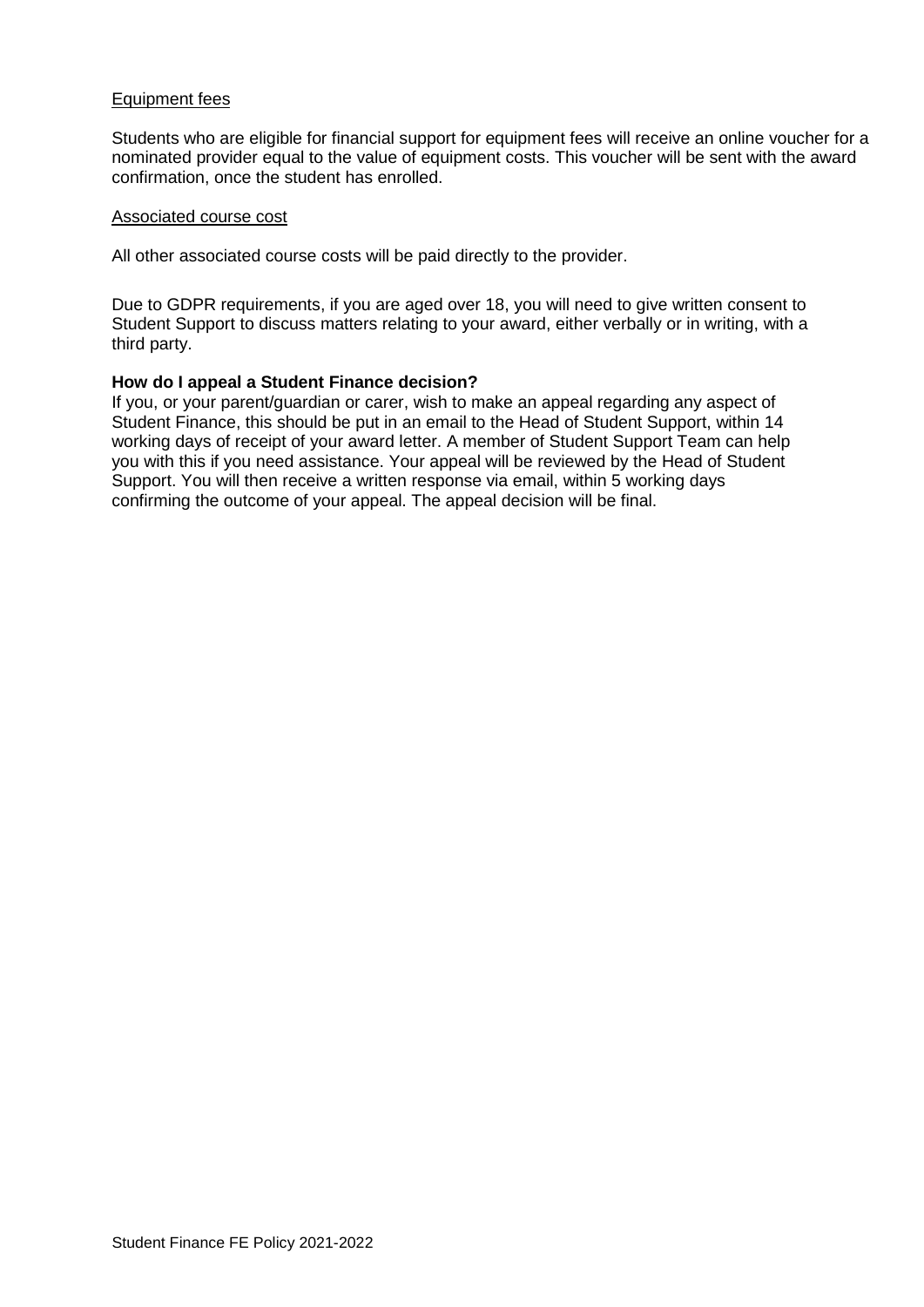### Equipment fees

Students who are eligible for financial support for equipment fees will receive an online voucher for a nominated provider equal to the value of equipment costs. This voucher will be sent with the award confirmation, once the student has enrolled.

#### Associated course cost

All other associated course costs will be paid directly to the provider.

Due to GDPR requirements, if you are aged over 18, you will need to give written consent to Student Support to discuss matters relating to your award, either verbally or in writing, with a third party.

### **How do I appeal a Student Finance decision?**

If you, or your parent/guardian or carer, wish to make an appeal regarding any aspect of Student Finance, this should be put in an email to the Head of Student Support, within 14 working days of receipt of your award letter. A member of Student Support Team can help you with this if you need assistance. Your appeal will be reviewed by the Head of Student Support. You will then receive a written response via email, within 5 working days confirming the outcome of your appeal. The appeal decision will be final.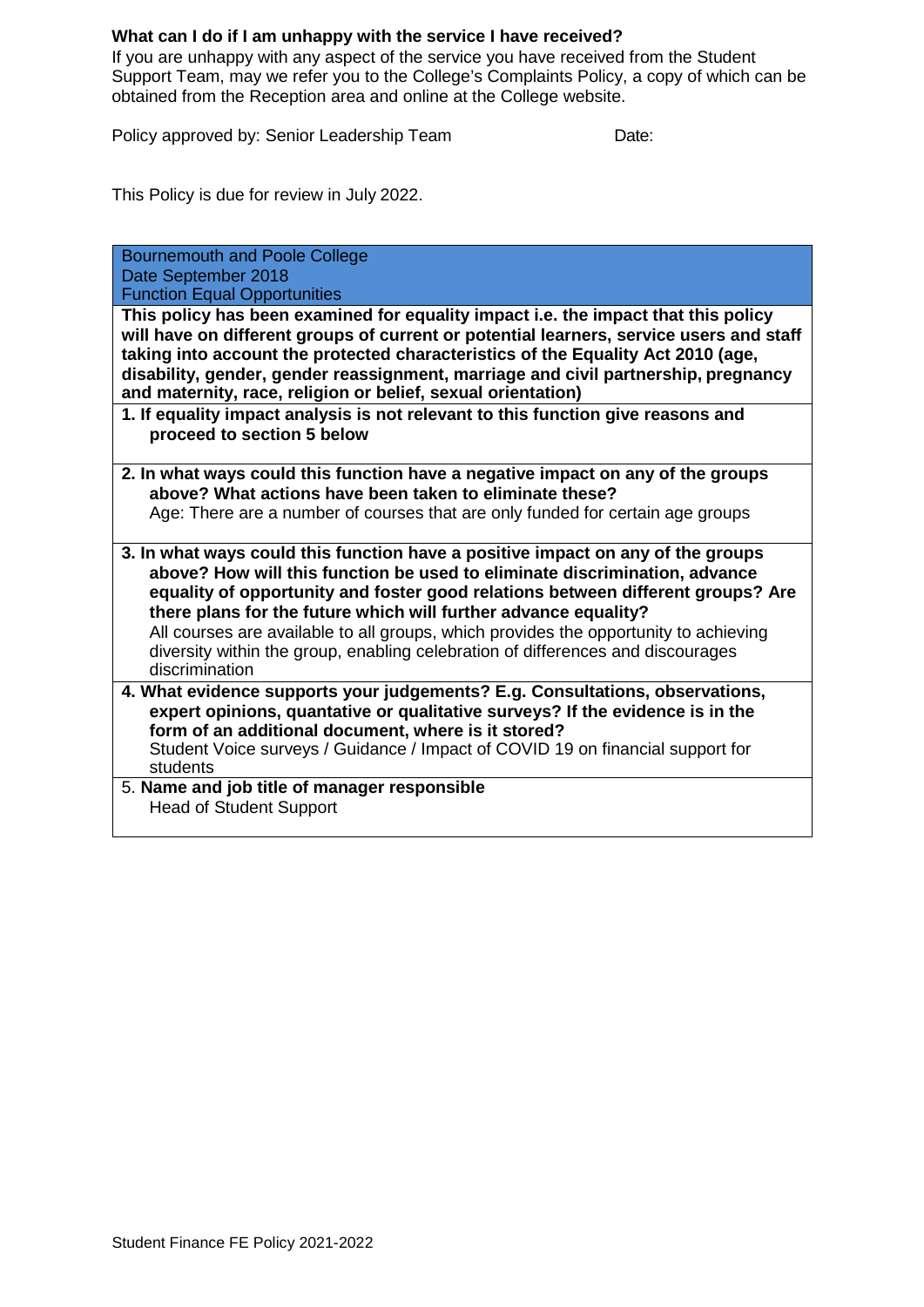### **What can I do if I am unhappy with the service I have received?**

If you are unhappy with any aspect of the service you have received from the Student Support Team, may we refer you to the College's Complaints Policy, a copy of which can be obtained from the Reception area and online at the College website.

Policy approved by: Senior Leadership Team **Date:** Date:

This Policy is due for review in July 2022.

Bournemouth and Poole College Date September 2018 Function Equal Opportunities

**This policy has been examined for equality impact i.e. the impact that this policy will have on different groups of current or potential learners, service users and staff taking into account the protected characteristics of the Equality Act 2010 (age, disability, gender, gender reassignment, marriage and civil partnership, pregnancy and maternity, race, religion or belief, sexual orientation)**

**1. If equality impact analysis is not relevant to this function give reasons and proceed to section 5 below**

**2. In what ways could this function have a negative impact on any of the groups above? What actions have been taken to eliminate these?**

Age: There are a number of courses that are only funded for certain age groups

**3. In what ways could this function have a positive impact on any of the groups above? How will this function be used to eliminate discrimination, advance equality of opportunity and foster good relations between different groups? Are there plans for the future which will further advance equality?** All courses are available to all groups, which provides the opportunity to achieving diversity within the group, enabling celebration of differences and discourages discrimination

**4. What evidence supports your judgements? E.g. Consultations, observations, expert opinions, quantative or qualitative surveys? If the evidence is in the form of an additional document, where is it stored?** Student Voice surveys / Guidance / Impact of COVID 19 on financial support for students

5. **Name and job title of manager responsible** Head of Student Support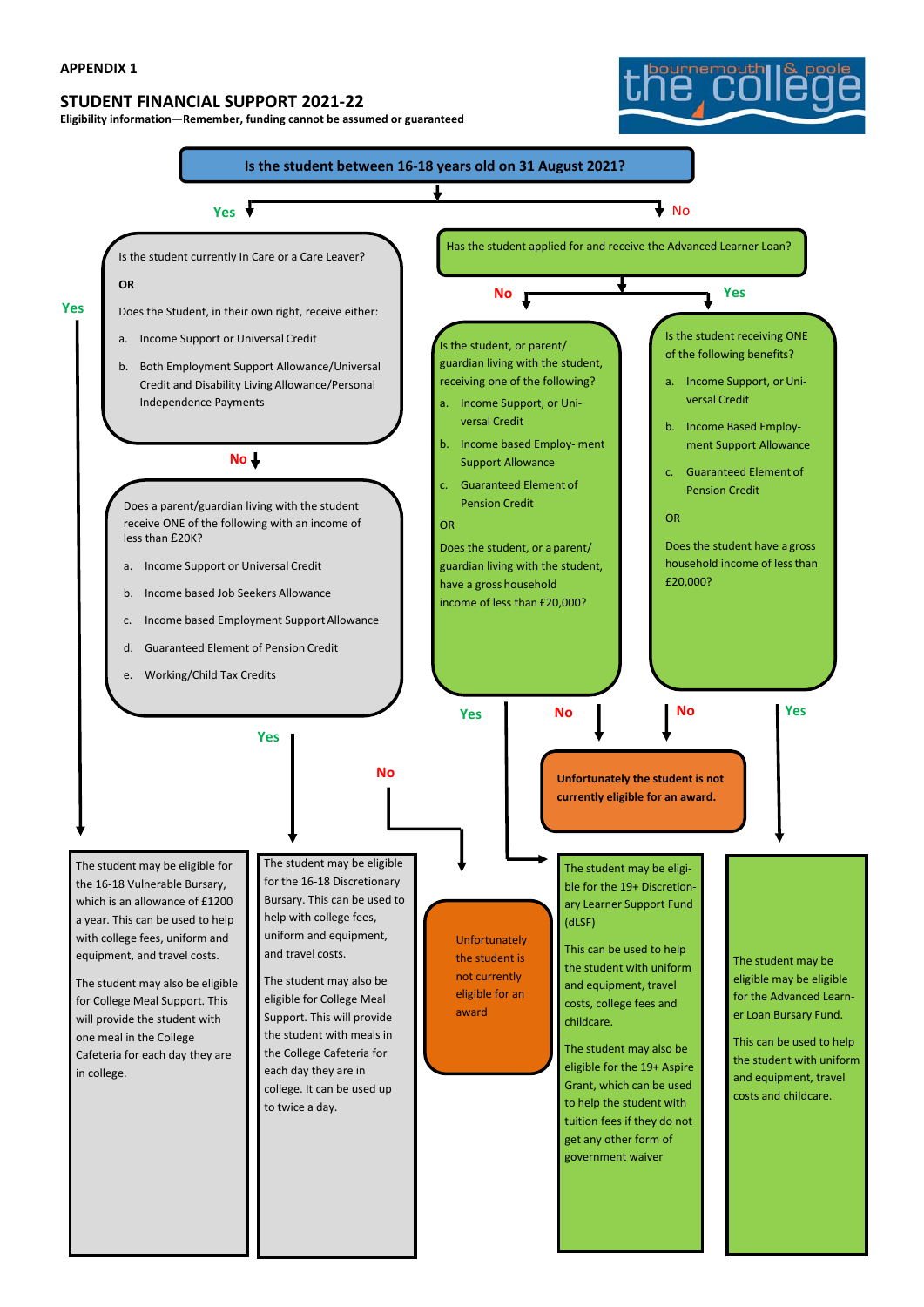#### **APPENDIX 1**

#### **STUDENT FINANCIAL SUPPORT 2021-22**

**Eligibility information—Remember, funding cannot be assumed or guaranteed**



**PULLE CO**